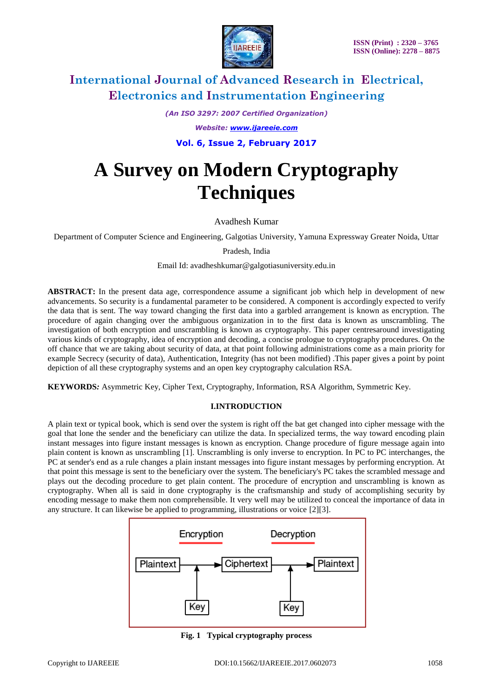

*(An ISO 3297: 2007 Certified Organization)*

*Website: [www.ijareeie.com](http://www.ijareeie.com/)*

**Vol. 6, Issue 2, February 2017**

# **A Survey on Modern Cryptography Techniques**

Avadhesh Kumar

Department of Computer Science and Engineering, Galgotias University, Yamuna Expressway Greater Noida, Uttar

Pradesh, India

Email Id: avadheshkumar@galgotiasuniversity.edu.in

**ABSTRACT:** In the present data age, correspondence assume a significant job which help in development of new advancements. So security is a fundamental parameter to be considered. A component is accordingly expected to verify the data that is sent. The way toward changing the first data into a garbled arrangement is known as encryption. The procedure of again changing over the ambiguous organization in to the first data is known as unscrambling. The investigation of both encryption and unscrambling is known as cryptography. This paper centresaround investigating various kinds of cryptography, idea of encryption and decoding, a concise prologue to cryptography procedures. On the off chance that we are taking about security of data, at that point following administrations come as a main priority for example Secrecy (security of data), Authentication, Integrity (has not been modified) .This paper gives a point by point depiction of all these cryptography systems and an open key cryptography calculation RSA.

**KEYWORDS***:* Asymmetric Key, Cipher Text, Cryptography, Information, RSA Algorithm, Symmetric Key.

### **I.INTRODUCTION**

A plain text or typical book, which is send over the system is right off the bat get changed into cipher message with the goal that lone the sender and the beneficiary can utilize the data. In specialized terms, the way toward encoding plain instant messages into figure instant messages is known as encryption. Change procedure of figure message again into plain content is known as unscrambling [1]. Unscrambling is only inverse to encryption. In PC to PC interchanges, the PC at sender's end as a rule changes a plain instant messages into figure instant messages by performing encryption. At that point this message is sent to the beneficiary over the system. The beneficiary's PC takes the scrambled message and plays out the decoding procedure to get plain content. The procedure of encryption and unscrambling is known as cryptography. When all is said in done cryptography is the craftsmanship and study of accomplishing security by encoding message to make them non comprehensible. It very well may be utilized to conceal the importance of data in any structure. It can likewise be applied to programming, illustrations or voice [2][3].



**Fig. 1 Typical cryptography process**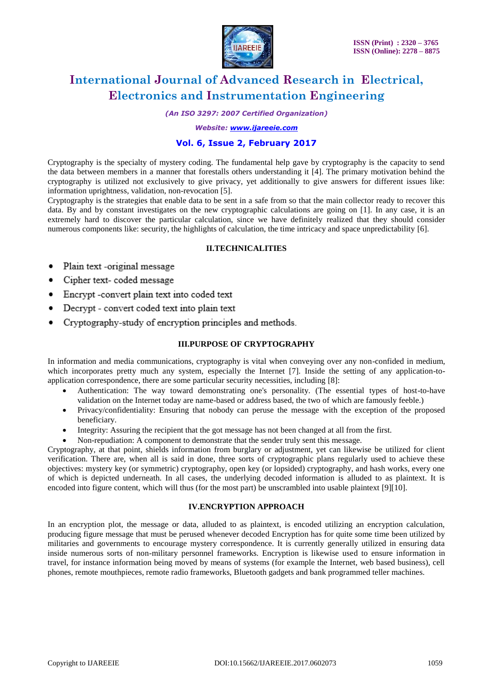

*(An ISO 3297: 2007 Certified Organization)*

*Website: [www.ijareeie.com](http://www.ijareeie.com/)*

### **Vol. 6, Issue 2, February 2017**

Cryptography is the specialty of mystery coding. The fundamental help gave by cryptography is the capacity to send the data between members in a manner that forestalls others understanding it [4]. The primary motivation behind the cryptography is utilized not exclusively to give privacy, yet additionally to give answers for different issues like: information uprightness, validation, non-revocation [5].

Cryptography is the strategies that enable data to be sent in a safe from so that the main collector ready to recover this data. By and by constant investigates on the new cryptographic calculations are going on [1]. In any case, it is an extremely hard to discover the particular calculation, since we have definitely realized that they should consider numerous components like: security, the highlights of calculation, the time intricacy and space unpredictability [6].

#### **II.TECHNICALITIES**

- Plain text -original message
- Cipher text-coded message
- Encrypt-convert plain text into coded text
- Decrypt convert coded text into plain text
- Cryptography-study of encryption principles and methods.  $\bullet$

#### **III.PURPOSE OF CRYPTOGRAPHY**

In information and media communications, cryptography is vital when conveying over any non-confided in medium, which incorporates pretty much any system, especially the Internet [7]. Inside the setting of any application-toapplication correspondence, there are some particular security necessities, including [8]:

- Authentication: The way toward demonstrating one's personality. (The essential types of host-to-have validation on the Internet today are name-based or address based, the two of which are famously feeble.)
- Privacy/confidentiality: Ensuring that nobody can peruse the message with the exception of the proposed beneficiary.
- Integrity: Assuring the recipient that the got message has not been changed at all from the first.
- Non-repudiation: A component to demonstrate that the sender truly sent this message.

Cryptography, at that point, shields information from burglary or adjustment, yet can likewise be utilized for client verification. There are, when all is said in done, three sorts of cryptographic plans regularly used to achieve these objectives: mystery key (or symmetric) cryptography, open key (or lopsided) cryptography, and hash works, every one of which is depicted underneath. In all cases, the underlying decoded information is alluded to as plaintext. It is encoded into figure content, which will thus (for the most part) be unscrambled into usable plaintext [9][10].

### **IV.ENCRYPTION APPROACH**

In an encryption plot, the message or data, alluded to as plaintext, is encoded utilizing an encryption calculation, producing figure message that must be perused whenever decoded Encryption has for quite some time been utilized by militaries and governments to encourage mystery correspondence. It is currently generally utilized in ensuring data inside numerous sorts of non-military personnel frameworks. Encryption is likewise used to ensure information in travel, for instance information being moved by means of systems (for example the Internet, web based business), cell phones, remote mouthpieces, remote radio frameworks, Bluetooth gadgets and bank programmed teller machines.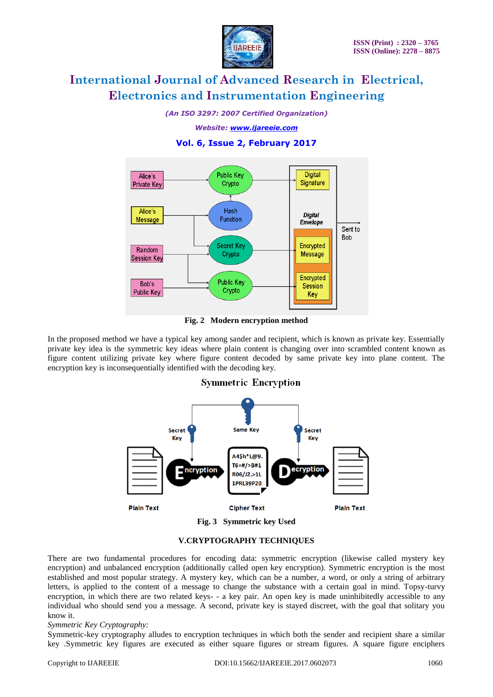

*(An ISO 3297: 2007 Certified Organization)*

*Website: [www.ijareeie.com](http://www.ijareeie.com/)*

### **Vol. 6, Issue 2, February 2017**



**Fig. 2 Modern encryption method**

In the proposed method we have a typical key among sander and recipient, which is known as private key. Essentially private key idea is the symmetric key ideas where plain content is changing over into scrambled content known as figure content utilizing private key where figure content decoded by same private key into plane content. The encryption key is inconsequentially identified with the decoding key.

### **Symmetric Encryption**



### **V.CRYPTOGRAPHY TECHNIQUES**

There are two fundamental procedures for encoding data: symmetric encryption (likewise called mystery key encryption) and unbalanced encryption (additionally called open key encryption). Symmetric encryption is the most established and most popular strategy. A mystery key, which can be a number, a word, or only a string of arbitrary letters, is applied to the content of a message to change the substance with a certain goal in mind. Topsy-turvy encryption, in which there are two related keys- - a key pair. An open key is made uninhibitedly accessible to any individual who should send you a message. A second, private key is stayed discreet, with the goal that solitary you know it.

#### *Symmetric Key Cryptography:*

Symmetric-key cryptography alludes to encryption techniques in which both the sender and recipient share a similar key .Symmetric key figures are executed as either square figures or stream figures. A square figure enciphers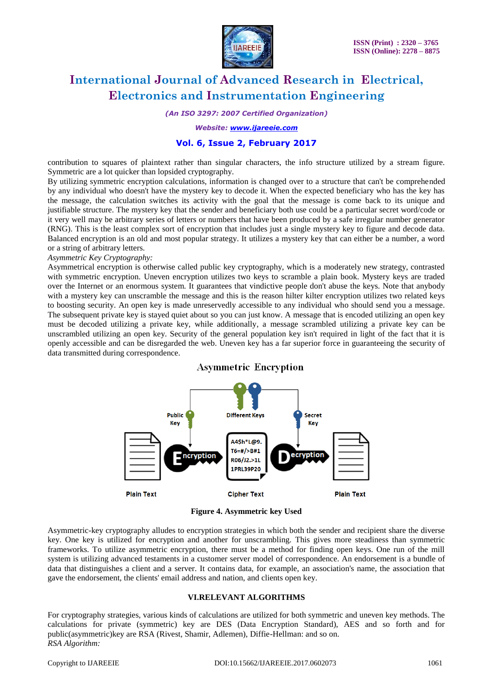

*(An ISO 3297: 2007 Certified Organization)*

*Website: [www.ijareeie.com](http://www.ijareeie.com/)*

### **Vol. 6, Issue 2, February 2017**

contribution to squares of plaintext rather than singular characters, the info structure utilized by a stream figure. Symmetric are a lot quicker than lopsided cryptography.

By utilizing symmetric encryption calculations, information is changed over to a structure that can't be comprehended by any individual who doesn't have the mystery key to decode it. When the expected beneficiary who has the key has the message, the calculation switches its activity with the goal that the message is come back to its unique and justifiable structure. The mystery key that the sender and beneficiary both use could be a particular secret word/code or it very well may be arbitrary series of letters or numbers that have been produced by a safe irregular number generator (RNG). This is the least complex sort of encryption that includes just a single mystery key to figure and decode data. Balanced encryption is an old and most popular strategy. It utilizes a mystery key that can either be a number, a word or a string of arbitrary letters.

#### *Asymmetric Key Cryptography:*

Asymmetrical encryption is otherwise called public key cryptography, which is a moderately new strategy, contrasted with symmetric encryption. Uneven encryption utilizes two keys to scramble a plain book. Mystery keys are traded over the Internet or an enormous system. It guarantees that vindictive people don't abuse the keys. Note that anybody with a mystery key can unscramble the message and this is the reason hilter kilter encryption utilizes two related keys to boosting security. An open key is made unreservedly accessible to any individual who should send you a message. The subsequent private key is stayed quiet about so you can just know. A message that is encoded utilizing an open key must be decoded utilizing a private key, while additionally, a message scrambled utilizing a private key can be unscrambled utilizing an open key. Security of the general population key isn't required in light of the fact that it is openly accessible and can be disregarded the web. Uneven key has a far superior force in guaranteeing the security of data transmitted during correspondence.



**Figure 4. Asymmetric key Used**

Asymmetric-key cryptography alludes to encryption strategies in which both the sender and recipient share the diverse key. One key is utilized for encryption and another for unscrambling. This gives more steadiness than symmetric frameworks. To utilize asymmetric encryption, there must be a method for finding open keys. One run of the mill system is utilizing advanced testaments in a customer server model of correspondence. An endorsement is a bundle of data that distinguishes a client and a server. It contains data, for example, an association's name, the association that gave the endorsement, the clients' email address and nation, and clients open key.

#### **VI.RELEVANT ALGORITHMS**

For cryptography strategies, various kinds of calculations are utilized for both symmetric and uneven key methods. The calculations for private (symmetric) key are DES (Data Encryption Standard), AES and so forth and for public(asymmetric)key are RSA (Rivest, Shamir, Adlemen), Diffie-Hellman: and so on. *RSA Algorithm:*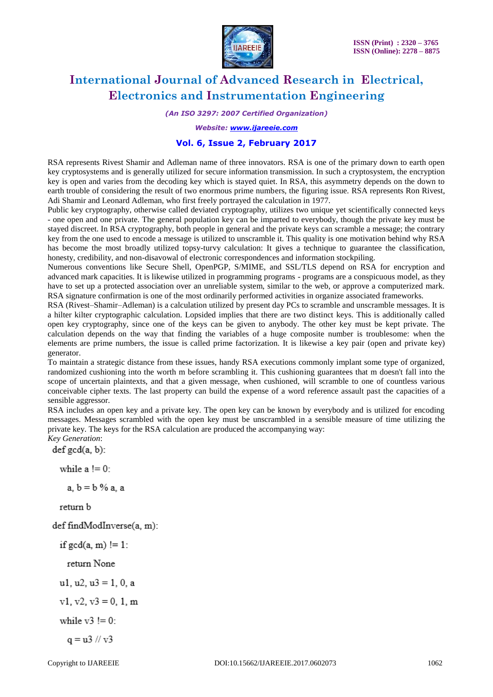

*(An ISO 3297: 2007 Certified Organization)*

*Website: [www.ijareeie.com](http://www.ijareeie.com/)*

### **Vol. 6, Issue 2, February 2017**

RSA represents Rivest Shamir and Adleman name of three innovators. RSA is one of the primary down to earth open key cryptosystems and is generally utilized for secure information transmission. In such a cryptosystem, the encryption key is open and varies from the decoding key which is stayed quiet. In RSA, this asymmetry depends on the down to earth trouble of considering the result of two enormous prime numbers, the figuring issue. RSA represents Ron Rivest, Adi Shamir and Leonard Adleman, who first freely portrayed the calculation in 1977.

Public key cryptography, otherwise called deviated cryptography, utilizes two unique yet scientifically connected keys - one open and one private. The general population key can be imparted to everybody, though the private key must be stayed discreet. In RSA cryptography, both people in general and the private keys can scramble a message; the contrary key from the one used to encode a message is utilized to unscramble it. This quality is one motivation behind why RSA has become the most broadly utilized topsy-turvy calculation: It gives a technique to guarantee the classification, honesty, credibility, and non-disavowal of electronic correspondences and information stockpiling.

Numerous conventions like Secure Shell, OpenPGP, S/MIME, and SSL/TLS depend on RSA for encryption and advanced mark capacities. It is likewise utilized in programming programs - programs are a conspicuous model, as they have to set up a protected association over an unreliable system, similar to the web, or approve a computerized mark. RSA signature confirmation is one of the most ordinarily performed activities in organize associated frameworks.

RSA (Rivest–Shamir–Adleman) is a calculation utilized by present day PCs to scramble and unscramble messages. It is a hilter kilter cryptographic calculation. Lopsided implies that there are two distinct keys. This is additionally called open key cryptography, since one of the keys can be given to anybody. The other key must be kept private. The calculation depends on the way that finding the variables of a huge composite number is troublesome: when the elements are prime numbers, the issue is called prime factorization. It is likewise a key pair (open and private key) generator.

To maintain a strategic distance from these issues, handy RSA executions commonly implant some type of organized, randomized cushioning into the worth m before scrambling it. This cushioning guarantees that m doesn't fall into the scope of uncertain plaintexts, and that a given message, when cushioned, will scramble to one of countless various conceivable cipher texts. The last property can build the expense of a word reference assault past the capacities of a sensible aggressor.

RSA includes an open key and a private key. The open key can be known by everybody and is utilized for encoding messages. Messages scrambled with the open key must be unscrambled in a sensible measure of time utilizing the private key. The keys for the RSA calculation are produced the accompanying way: *Key Generation*:

 $def \text{gcd}(a, b)$ :

while  $a := 0$ :

 $a, b = b$  %  $a, a$ 

return b

def findModInverse(a, m):

if  $gcd(a, m)$  != 1:

return None

 $u1, u2, u3 = 1, 0, a$ 

 $v1, v2, v3 = 0, 1, m$ 

while  $v3 = 0$ :

 $q = u^2 / / v^2$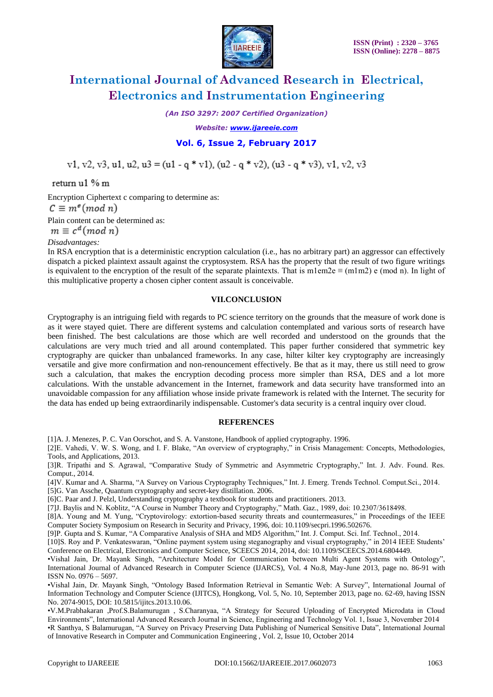

*(An ISO 3297: 2007 Certified Organization)*

*Website: [www.ijareeie.com](http://www.ijareeie.com/)*

### **Vol. 6, Issue 2, February 2017**

v1, v2, v3, u1, u2, u3 = (u1 - q \* v1), (u2 - q \* v2), (u3 - q \* v3), v1, v2, v3

return u1 % m

Encryption Ciphertext c comparing to determine as:  $C \equiv m^e (mod n)$ Plain content can be determined as:  $m \equiv c^d (mod n)$ 

*Disadvantages:*

In RSA encryption that is a deterministic encryption calculation (i.e., has no arbitrary part) an aggressor can effectively dispatch a picked plaintext assault against the cryptosystem. RSA has the property that the result of two figure writings is equivalent to the encryption of the result of the separate plaintexts. That is m1em2e  $\equiv$  (m1m2) e (mod n). In light of this multiplicative property a chosen cipher content assault is conceivable.

#### **VII.CONCLUSION**

Cryptography is an intriguing field with regards to PC science territory on the grounds that the measure of work done is as it were stayed quiet. There are different systems and calculation contemplated and various sorts of research have been finished. The best calculations are those which are well recorded and understood on the grounds that the calculations are very much tried and all around contemplated. This paper further considered that symmetric key cryptography are quicker than unbalanced frameworks. In any case, hilter kilter key cryptography are increasingly versatile and give more confirmation and non-renouncement effectively. Be that as it may, there us still need to grow such a calculation, that makes the encryption decoding process more simpler than RSA, DES and a lot more calculations. With the unstable advancement in the Internet, framework and data security have transformed into an unavoidable compassion for any affiliation whose inside private framework is related with the Internet. The security for the data has ended up being extraordinarily indispensable. Customer's data security is a central inquiry over cloud.

#### **REFERENCES**

[1]A. J. Menezes, P. C. Van Oorschot, and S. A. Vanstone, Handbook of applied cryptography. 1996.

[2]E. Vahedi, V. W. S. Wong, and I. F. Blake, "An overview of cryptography," in Crisis Management: Concepts, Methodologies, Tools, and Applications, 2013.

[3]R. Tripathi and S. Agrawal, "Comparative Study of Symmetric and Asymmetric Cryptography," Int. J. Adv. Found. Res. Comput., 2014.

[4]V. Kumar and A. Sharma, "A Survey on Various Cryptography Techniques," Int. J. Emerg. Trends Technol. Comput.Sci., 2014.

[5]G. Van Assche, Quantum cryptography and secret-key distillation. 2006.

[6]C. Paar and J. Pelzl, Understanding cryptography a textbook for students and practitioners. 2013.

[7]J. Baylis and N. Koblitz, "A Course in Number Theory and Cryptography," Math. Gaz., 1989, doi: 10.2307/3618498.

[8]A. Young and M. Yung, "Cryptovirology: extortion-based security threats and countermeasures," in Proceedings of the IEEE Computer Society Symposium on Research in Security and Privacy, 1996, doi: 10.1109/secpri.1996.502676.

[9]P. Gupta and S. Kumar, "A Comparative Analysis of SHA and MD5 Algorithm," Int. J. Comput. Sci. Inf. Technol., 2014.

[10]S. Roy and P. Venkateswaran, "Online payment system using steganography and visual cryptography," in 2014 IEEE Students' Conference on Electrical, Electronics and Computer Science, SCEECS 2014, 2014, doi: 10.1109/SCEECS.2014.6804449.

•Vishal Jain, Dr. Mayank Singh, "Architecture Model for Communication between Multi Agent Systems with Ontology", International Journal of Advanced Research in Computer Science (IJARCS), Vol. 4 No.8, May-June 2013, page no. 86-91 with ISSN No. 0976 – 5697.

•Vishal Jain, Dr. Mayank Singh, "Ontology Based Information Retrieval in Semantic Web: A Survey", International Journal of Information Technology and Computer Science (IJITCS), Hongkong, Vol. 5, No. 10, September 2013, page no. 62-69, having ISSN No. 2074-9015, DOI: 10.5815/ijitcs.2013.10.06.

•V.M.Prabhakaran ,Prof.S.Balamurugan , S.Charanyaa, "A Strategy for Secured Uploading of Encrypted Microdata in Cloud Environments", International Advanced Research Journal in Science, Engineering and Technology Vol. 1, Issue 3, November 2014

•R Santhya, S Balamurugan, "A Survey on Privacy Preserving Data Publishing of Numerical Sensitive Data", International Journal of Innovative Research in Computer and Communication Engineering , Vol. 2, Issue 10, October 2014